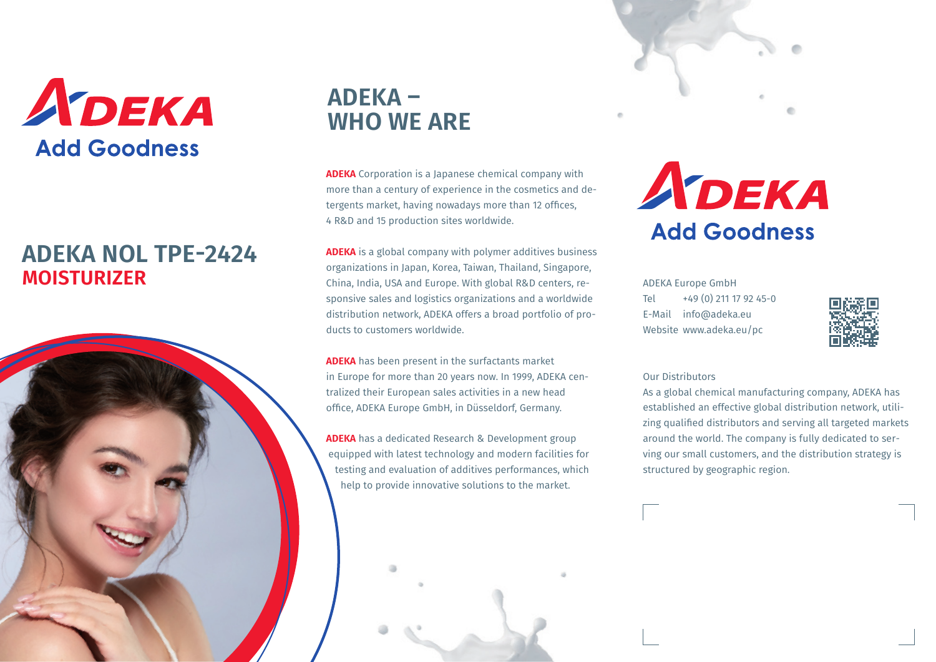

## **MOISTURIZER ADEKA NOL TPE-2424**



# **ADEKA – WHO WE ARE**

**ADEKA** Corporation is a Japanese chemical company with more than a century of experience in the cosmetics and detergents market, having nowadays more than 12 offices, 4 R&D and 15 production sites worldwide.

**ADEKA** is a global company with polymer additives business organizations in Japan, Korea, Taiwan, Thailand, Singapore, China, India, USA and Europe. With global R&D centers, responsive sales and logistics organizations and a worldwide distribution network, ADEKA offers a broad portfolio of products to customers worldwide.

**ADEKA** has been present in the surfactants market in Europe for more than 20 years now. In 1999, ADEKA centralized their European sales activities in a new head office, ADEKA Europe GmbH, in Düsseldorf, Germany.

**ADEKA** has a dedicated Research & Development group equipped with latest technology and modern facilities for testing and evaluation of additives performances, which help to provide innovative solutions to the market.







ADEKA Europe GmbH Tel  $+49(0)$  211 17 92 45-0 E-Mail info@adeka.eu Website www.adeka.eu/pc



#### Our Distributors

As a global chemical manufacturing company, ADEKA has established an effective global distribution network, utilizing qualified distributors and serving all targeted markets around the world. The company is fully dedicated to serving our small customers, and the distribution strategy is structured by geographic region.